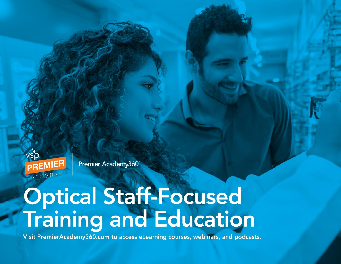

Premier Academy360

## **Optical Staff-Focused<br>Training and Education**

Visit PremierAcademy360.com to access eLearning courses, webinars, and podcasts.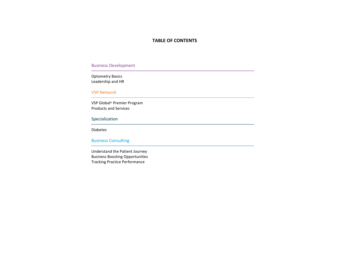## **TABLE OF CONTENTS**

Business Development

Optometry Basics Leadership and HR

VSP Network

VSP Global® Premier Program Products and Services

## Specialization

Diabetes

Business Consulting

Understand the Patient Journey Business Boosting Opportunities Tracking Practice Performance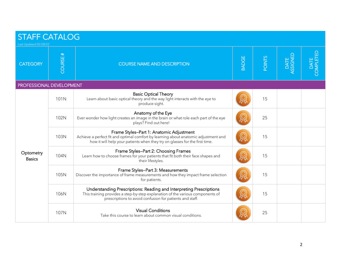| <b>STAFF CATALOG</b><br>Last Updated 02/28/22 |         |                                                                                                                                                                                                                   |              |               |                    |                   |  |
|-----------------------------------------------|---------|-------------------------------------------------------------------------------------------------------------------------------------------------------------------------------------------------------------------|--------------|---------------|--------------------|-------------------|--|
| <b>CATEGORY</b>                               | COURSE# | <b>COURSE NAME AND DESCRIPTION</b>                                                                                                                                                                                | <b>BADGE</b> | <b>POINTS</b> | DATE  <br>ASSIGNED | COMPLETED<br>DATE |  |
| PROFESSIONAL DEVELOPMENT                      |         |                                                                                                                                                                                                                   |              |               |                    |                   |  |
| Optometry<br><b>Basics</b>                    | 101N    | <b>Basic Optical Theory</b><br>Learn about basic optical theory and the way light interacts with the eye to<br>produce sight.                                                                                     |              | 15            |                    |                   |  |
|                                               | 102N    | Anatomy of the Eye<br>Ever wonder how light creates an image in the brain or what role each part of the eye<br>plays? Find out here!                                                                              |              | 25            |                    |                   |  |
|                                               | 103N    | Frame Styles-Part 1: Anatomic Adjustment<br>Achieve a perfect fit and optimal comfort by learning about anatomic adjustment and<br>how it will help your patients when they try on glasses for the first time.    |              | 15            |                    |                   |  |
|                                               | 104N    | Frame Styles-Part 2: Choosing Frames<br>Learn how to choose frames for your patients that fit both their face shapes and<br>their lifestyles.                                                                     |              | 15            |                    |                   |  |
|                                               | 105N    | Frame Styles-Part 3: Measurements<br>Discover the importance of frame measurements and how they impact frame selection<br>for patients.                                                                           |              | 15            |                    |                   |  |
|                                               | 106N    | Understanding Prescriptions: Reading and Interpreting Prescriptions<br>This training provides a step-by-step explanation of the various components of<br>prescriptions to avoid confusion for patients and staff. |              | 15            |                    |                   |  |
|                                               | 107N    | <b>Visual Conditions</b><br>Take this course to learn about common visual conditions.                                                                                                                             |              | 25            |                    |                   |  |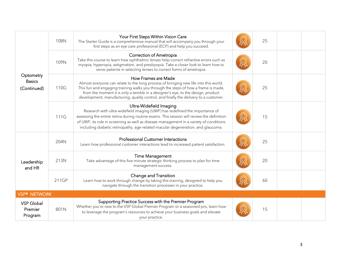|                                           | 108N  | Your First Steps Within Vision Care<br>The Starter Guide is a comprehensive manual that will accompany you through your<br>first steps as an eye care professional (ECP) and help you succeed.                                                                                                                                                                                   | 25 |  |
|-------------------------------------------|-------|----------------------------------------------------------------------------------------------------------------------------------------------------------------------------------------------------------------------------------------------------------------------------------------------------------------------------------------------------------------------------------|----|--|
| Optometry<br><b>Basics</b><br>(Continued) | 109N  | Correction of Ametropia<br>Take this course to learn how ophthalmic lenses help correct refractive errors such as<br>myopia, hyperopia, astigmatism, and presbyopia. Take a closer look to learn how to<br>serve patients in selecting lenses to correct forms of ametropia.                                                                                                     | 20 |  |
|                                           | 110G  | How Frames are Made<br>Almost everyone can relate to the long process of bringing new life into this world.<br>This fun and engaging training walks you through the steps of how a frame is made,<br>from the moment it is only a twinkle in a designer's eye, to the design, product<br>development, manufacturing, quality control, and finally the delivery to a customer.    | 25 |  |
| Leadership<br>and HR                      | 111G  | Ultra-Widefield Imaging<br>Research with ultra-widefield imaging (UWF) has redefined the importance of<br>assessing the entire retina during routine exams. This session will review the definition<br>of UWF, its role in screening as well as disease management in a variety of conditions<br>including diabetic retinopathy, age-related macular degeneration, and glaucoma. | 15 |  |
|                                           | 204N  | <b>Professional Customer Interactions</b><br>Learn how professional customer interactions lead to increased patient satisfaction.                                                                                                                                                                                                                                                | 25 |  |
|                                           | 213N  | <b>Time Management</b><br>Take advantage of this five-minute strategic thinking process to plan for time<br>management success.                                                                                                                                                                                                                                                  | 20 |  |
|                                           | 211GP | Change and Transition<br>Learn how to work through change by taking this training, designed to help you<br>navigate through the transition processes in your practice.                                                                                                                                                                                                           | 60 |  |
| <b>VSP® NETWORK</b>                       |       |                                                                                                                                                                                                                                                                                                                                                                                  |    |  |
| <b>VSP Global</b><br>Premier<br>Program   | 801N  | Supporting Practice Success with the Premier Program<br>Whether you're new to the VSP Global Premier Program or a seasoned pro, learn how<br>to leverage the program's resources to achieve your business goals and elevate<br>your practice.                                                                                                                                    | 15 |  |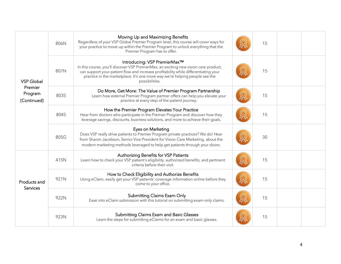| <b>VSP Global</b><br>Premier<br>Program<br>(Continued)<br>Products and<br><b>Services</b> | 806N | Moving Up and Maximizing Benefits<br>Regardless of your VSP Global Premier Program level, this course will cover ways for<br>your practice to move up within the Premier Program to unlock everything that the<br>Premier Program has to offer.                                                              | 15 |  |
|-------------------------------------------------------------------------------------------|------|--------------------------------------------------------------------------------------------------------------------------------------------------------------------------------------------------------------------------------------------------------------------------------------------------------------|----|--|
|                                                                                           | 807N | Introducing: VSP PremierMax™<br>In this course, you'll discover VSP PremierMax, an exciting new vision care product,<br>can support your patient flow and increase profitability while differentiating your<br>practice in the marketplace. It's one more way we're helping people see the<br>possibilities. | 15 |  |
|                                                                                           | 803S | Do More, Get More: The Value of Premier Program Partnership<br>Learn how external Premier Program partner offers can help you elevate your<br>practice at every step of the patient journey.                                                                                                                 | 15 |  |
|                                                                                           | 804S | How the Premier Program Elevates Your Practice<br>Hear from doctors who participate in the Premier Program and discover how they<br>leverage savings, discounts, business solutions, and more to achieve their goals.                                                                                        | 15 |  |
|                                                                                           | 805G | Eyes on Marketing<br>Does VSP really drive patients to Premier Program private practices? We do! Hear<br>from Sharon Jacobson, Senior Vice President for Vision Care Marketing, about the<br>modern marketing methods leveraged to help get patients through your doors.                                     | 30 |  |
|                                                                                           | 415N | Authorizing Benefits for VSP Patients<br>Learn how to check your VSP patient's eligibility, authorized benefits, and pertinent<br>criteria before their visit.                                                                                                                                               | 15 |  |
|                                                                                           | 921N | How to Check Eligibility and Authorize Benefits<br>Using eClaim, easily get your VSP patients' coverage information online before they<br>come to your office.                                                                                                                                               | 15 |  |
|                                                                                           | 922N | <b>Submitting Claims Exam Only</b><br>Ease into eClaim submission with this tutorial on submitting exam-only claims.                                                                                                                                                                                         | 15 |  |
|                                                                                           | 923N | Submitting Claims Exam and Basic Glasses<br>Learn the steps for submitting eClaims for an exam and basic glasses.                                                                                                                                                                                            | 15 |  |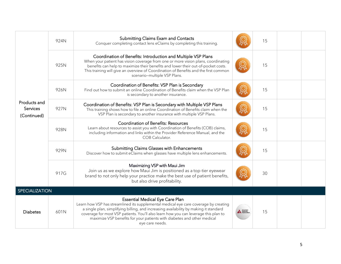|                                         | 924N | Submitting Claims Exam and Contacts<br>Conquer completing contact lens eClaims by completing this training.                                                                                                                                                                                                                                                                                                  |                           | 15 |  |
|-----------------------------------------|------|--------------------------------------------------------------------------------------------------------------------------------------------------------------------------------------------------------------------------------------------------------------------------------------------------------------------------------------------------------------------------------------------------------------|---------------------------|----|--|
| Products and<br>Services<br>(Continued) | 925N | Coordination of Benefits: Introduction and Multiple VSP Plans<br>When your patient has vision coverage from one or more vision plans, coordinating<br>benefits can help to maximize their benefits and lower their out-of-pocket costs.<br>This training will give an overview of Coordination of Benefits and the first common<br>scenario-multiple VSP Plans.                                              |                           | 15 |  |
|                                         | 926N | Coordination of Benefits: VSP Plan is Secondary<br>Find out how to submit an online Coordination of Benefits claim when the VSP Plan<br>is secondary to another insurance.                                                                                                                                                                                                                                   |                           | 15 |  |
|                                         | 927N | Coordination of Benefits: VSP Plan is Secondary with Multiple VSP Plans<br>This training shows how to file an online Coordination of Benefits claim when the<br>VSP Plan is secondary to another insurance with multiple VSP Plans.                                                                                                                                                                          |                           | 15 |  |
|                                         | 928N | <b>Coordination of Benefits: Resources</b><br>Learn about resources to assist you with Coordination of Benefits (COB) claims,<br>including information and links within the Provider Reference Manual, and the<br>COB Calculator.                                                                                                                                                                            |                           | 15 |  |
|                                         | 929N | Submitting Claims Glasses with Enhancements<br>Discover how to submit eClaims when glasses have multiple lens enhancements.                                                                                                                                                                                                                                                                                  |                           | 15 |  |
|                                         | 917G | Maximizing VSP with Maui Jim<br>Join us as we explore how Maui Jim is positioned as a top-tier eyewear<br>brand to not only help your practice make the best use of patient benefits,<br>but also drive profitability.                                                                                                                                                                                       |                           | 30 |  |
| SPECIALIZATION                          |      |                                                                                                                                                                                                                                                                                                                                                                                                              |                           |    |  |
| <b>Diabetes</b>                         | 601N | <b>Essential Medical Eye Care Plan</b><br>Learn how VSP has streamlined its supplemental medical eye care coverage by creating<br>a single plan, simplifying billing, and increasing availability by making it standard<br>coverage for most VSP patients. You'll also learn how you can leverage this plan to<br>maximize VSP benefits for your patients with diabetes and other medical<br>eye care needs. | A Diabetes<br>A Associati | 15 |  |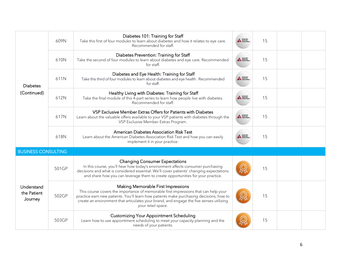|                                      | 609N  | Diabetes 101: Training for Staff<br>Take this first of four modules to learn about diabetes and how it relates to eye care.<br>Recommended for staff.                                                                                                                                                                                 | A Diabetes<br>A Association | 15 |  |
|--------------------------------------|-------|---------------------------------------------------------------------------------------------------------------------------------------------------------------------------------------------------------------------------------------------------------------------------------------------------------------------------------------|-----------------------------|----|--|
|                                      | 610N  | Diabetes Prevention: Training for Staff<br>Take the second of four modules to learn about diabetes and eye care. Recommended<br>for staff.                                                                                                                                                                                            | A American<br>A Association | 15 |  |
| <b>Diabetes</b>                      | 611N  | Diabetes and Eye Health: Training for Staff<br>Take this third of four modules to learn about diabetes and eye health. Recommended<br>for staff.                                                                                                                                                                                      | A Diabetes<br>A Association | 15 |  |
| (Continued)                          | 612N  | Healthy Living with Diabetes: Training for Staff<br>Take the final module of this 4-part series to learn how people live with diabetes.<br>Recommended for staff.                                                                                                                                                                     | A Diabetes<br>A Diabetes    | 15 |  |
|                                      | 617N  | VSP Exclusive Member Extras Offers for Patients with Diabetes<br>Learn about the valuable offers available to your VSP patients with diabetes through the<br>VSP Exclusive Member Extras Program.                                                                                                                                     | A Diabetes<br>A Diabetes    | 15 |  |
|                                      | 618N  | American Diabetes Association Risk Test<br>Learn about the American Diabetes Association Risk Test and how you can easily<br>implement it in your practice.                                                                                                                                                                           | A Diabetes<br>A Diabetes    | 15 |  |
| <b>BUSINESS CONSULTING</b>           |       |                                                                                                                                                                                                                                                                                                                                       |                             |    |  |
|                                      | 501GP | <b>Changing Consumer Expectations</b><br>In this course, you'll hear how today's environment affects consumer purchasing<br>decisions and what is considered essential. We'll cover patients' changing expectations<br>and share how you can leverage them to create opportunities for your practice.                                 |                             | 15 |  |
| Understand<br>the Patient<br>Journey | 502GP | Making Memorable First Impressions<br>This course covers the importance of memorable first impressions that can help your<br>practice earn new patients. You'll learn how patients make purchasing decisions, how to<br>create an environment that articulates your brand, and engage the five senses utilizing<br>your retail space. |                             | 15 |  |
|                                      | 503GP | <b>Customizing Your Appointment Scheduling</b><br>Learn how to use appointment scheduling to meet your capacity planning and the<br>needs of your patients.                                                                                                                                                                           |                             | 15 |  |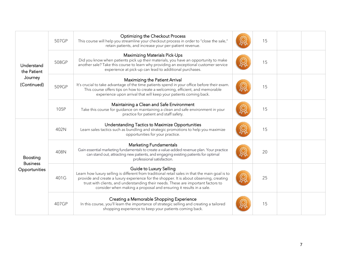|                                                                                                            | 507GP | Optimizing the Checkout Process<br>This course will help you streamline your checkout process in order to "close the sale,"<br>retain patients, and increase your per-patient revenue.                                                                                                                                                                                           | 15 |  |
|------------------------------------------------------------------------------------------------------------|-------|----------------------------------------------------------------------------------------------------------------------------------------------------------------------------------------------------------------------------------------------------------------------------------------------------------------------------------------------------------------------------------|----|--|
| Understand<br>the Patient<br>Journey<br>(Continued)<br><b>Boosting</b><br><b>Business</b><br>Opportunities | 508GP | <b>Maximizing Materials Pick-Ups</b><br>Did you know when patients pick up their materials, you have an opportunity to make<br>another sale? Take this course to learn why providing an exceptional customer service<br>experience at pick-up can lead to additional purchases.                                                                                                  | 15 |  |
|                                                                                                            | 509GP | Maximizing the Patient Arrival<br>It's crucial to take advantage of the time patients spend in your office before their exam.<br>This course offers tips on how to create a welcoming, efficient, and memorable<br>experience upon arrival that will keep your patients coming back.                                                                                             | 15 |  |
|                                                                                                            | 105P  | Maintaining a Clean and Safe Environment<br>Take this course for guidance on maintaining a clean and safe environment in your<br>practice for patient and staff safety.                                                                                                                                                                                                          | 15 |  |
|                                                                                                            | 402N  | Understanding Tactics to Maximize Opportunities<br>Learn sales tactics such as bundling and strategic promotions to help you maximize<br>opportunities for your practice.                                                                                                                                                                                                        | 15 |  |
|                                                                                                            | 408N  | <b>Marketing Fundamentals</b><br>Gain essential marketing fundamentals to create a value-added revenue plan. Your practice<br>can stand out, attracting new patients, and engaging existing patients for optimal<br>professional satisfaction.                                                                                                                                   | 20 |  |
|                                                                                                            | 401G  | Guide to Luxury Selling<br>Learn how luxury selling is different from traditional retail sales in that the main goal is to<br>provide and create a luxury experience for the shopper. It is about observing, creating<br>trust with clients, and understanding their needs. These are important factors to<br>consider when making a proposal and ensuring it results in a sale. | 25 |  |
|                                                                                                            | 407GP | Creating a Memorable Shopping Experience<br>In this course, you'll learn the importance of strategic selling and creating a tailored<br>shopping experience to keep your patients coming back.                                                                                                                                                                                   | 15 |  |